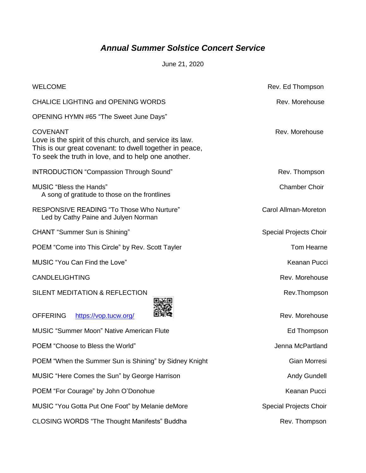## *Annual Summer Solstice Concert Service*

June 21, 2020

| <b>WELCOME</b>                                                                                                                                                                               | Rev. Ed Thompson              |
|----------------------------------------------------------------------------------------------------------------------------------------------------------------------------------------------|-------------------------------|
| <b>CHALICE LIGHTING and OPENING WORDS</b>                                                                                                                                                    | Rev. Morehouse                |
| OPENING HYMN #65 "The Sweet June Days"                                                                                                                                                       |                               |
| <b>COVENANT</b><br>Love is the spirit of this church, and service its law.<br>This is our great covenant: to dwell together in peace,<br>To seek the truth in love, and to help one another. | Rev. Morehouse                |
| <b>INTRODUCTION "Compassion Through Sound"</b>                                                                                                                                               | Rev. Thompson                 |
| <b>MUSIC</b> "Bless the Hands"<br>A song of gratitude to those on the frontlines                                                                                                             | <b>Chamber Choir</b>          |
| RESPONSIVE READING "To Those Who Nurture"<br>Led by Cathy Paine and Julyen Norman                                                                                                            | Carol Allman-Moreton          |
| <b>CHANT</b> "Summer Sun is Shining"                                                                                                                                                         | <b>Special Projects Choir</b> |
| POEM "Come into This Circle" by Rev. Scott Tayler                                                                                                                                            | Tom Hearne                    |
| <b>MUSIC "You Can Find the Love"</b>                                                                                                                                                         | Keanan Pucci                  |
| <b>CANDLELIGHTING</b>                                                                                                                                                                        | Rev. Morehouse                |
| SILENT MEDITATION & REFLECTION                                                                                                                                                               | Rev.Thompson                  |
| <b>OFFERING</b><br>https://vop.tucw.org/                                                                                                                                                     | Rev. Morehouse                |
| <b>MUSIC "Summer Moon" Native American Flute</b>                                                                                                                                             | Ed Thompson                   |
| POEM "Choose to Bless the World"                                                                                                                                                             | Jenna McPartland              |
| POEM "When the Summer Sun is Shining" by Sidney Knight                                                                                                                                       | Gian Morresi                  |
| MUSIC "Here Comes the Sun" by George Harrison                                                                                                                                                | <b>Andy Gundell</b>           |
| POEM "For Courage" by John O'Donohue                                                                                                                                                         | Keanan Pucci                  |
| MUSIC "You Gotta Put One Foot" by Melanie deMore                                                                                                                                             | <b>Special Projects Choir</b> |
| <b>CLOSING WORDS "The Thought Manifests" Buddha</b>                                                                                                                                          | Rev. Thompson                 |